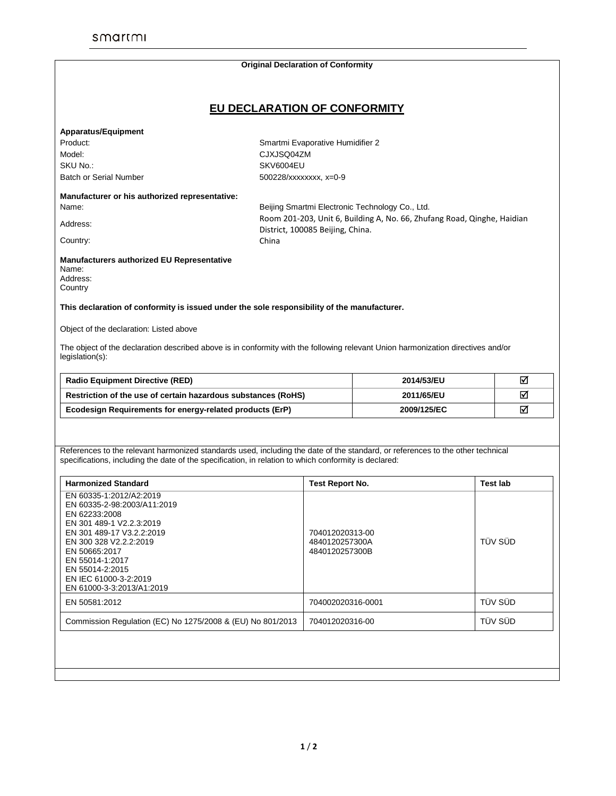## **Original Declaration of Conformity EU DECLARATION OF CONFORMITY Apparatus/Equipment** Product:<br>
Smartmi Evaporative Humidifier 2 Model: CJXJSQ04ZM SKU No.: SKV6004EU Batch or Serial Number 500228/xxxxxxx, x=0-9 **Manufacturer or his authorized representative:** Name: Beijing Smartmi Electronic Technology Co., Ltd. Address: Room 201-203, Unit 6, Building A, No. 66, Zhufang Road, Qinghe, Haidian District, 100085 Beijing, China. Country: Country: China **Manufacturers authorized EU Representative**  Name: Address: **Country This declaration of conformity is issued under the sole responsibility of the manufacturer.** Object of the declaration: Listed above The object of the declaration described above is in conformity with the following relevant Union harmonization directives and/or legislation(s): **Radio Equipment Directive (RED) 2014/53/EU Restriction of the use of certain hazardous substances (RoHS) 2011/65/EU Ecodesign Requirements for energy-related products (ErP) 2009/125/EC** References to the relevant harmonized standards used, including the date of the standard, or references to the other technical specifications, including the date of the specification, in relation to which conformity is declared: **Harmonized Standard Test Report No. Test lab** EN 60335-1:2012/A2:2019 EN 60335-2-98:2003/A11:2019 EN 62233:2008 EN 301 489-1 V2.2.3:2019 EN 301 489-17 V3.2.2:2019 EN 300 328 V2.2.2:2019 EN 50665:2017 EN 55014-1:2017 EN 55014-2:2015 EN IEC 61000-3-2:2019 EN 61000-3-3:2013/A1:2019 704012020313-00 4840120257300A 4840120257300B TÜV SÜD EN 50581:2012 704002020316-0001 TÜV SÜD Commission Regulation (EC) No 1275/2008 & (EU) No 801/2013 704012020316-00 TÜV SÜD